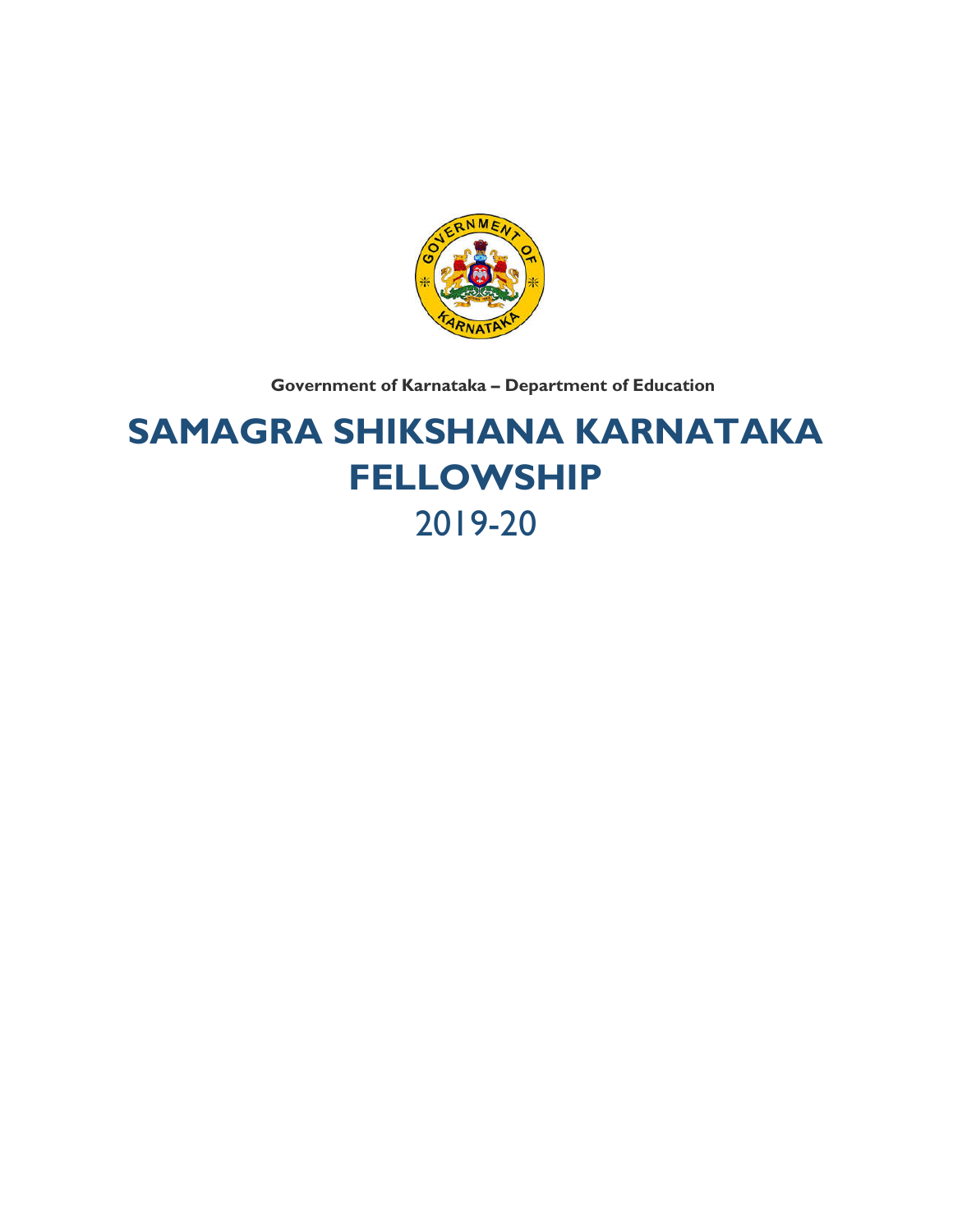

**Government of Karnataka – Department of Education**

# **SAMAGRA SHIKSHANA KARNATAKA FELLOWSHIP**  2019-20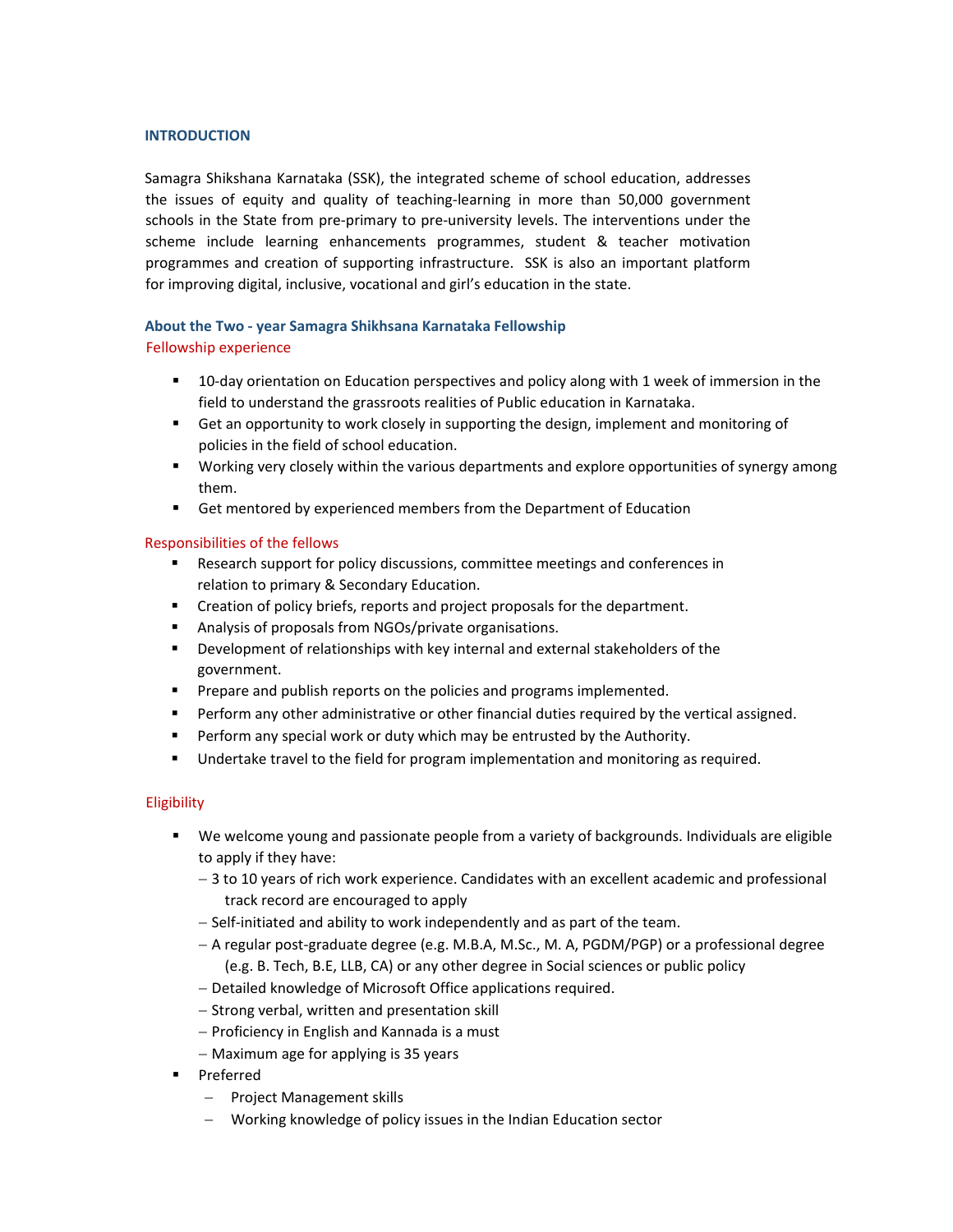#### **INTRODUCTION**

Samagra Shikshana Karnataka (SSK), the integrated scheme of school education, addresses the issues of equity and quality of teaching‐learning in more than 50,000 government schools in the State from pre‐primary to pre‐university levels. The interventions under the scheme include learning enhancements programmes, student & teacher motivation programmes and creation of supporting infrastructure. SSK is also an important platform for improving digital, inclusive, vocational and girl's education in the state.

# **About the Two ‐ year Samagra Shikhsana Karnataka Fellowship**

# Fellowship experience

- 10-day orientation on Education perspectives and policy along with 1 week of immersion in the field to understand the grassroots realities of Public education in Karnataka.
- Get an opportunity to work closely in supporting the design, implement and monitoring of policies in the field of school education.
- Working very closely within the various departments and explore opportunities of synergy among them.
- Get mentored by experienced members from the Department of Education

# Responsibilities of the fellows

- **Research support for policy discussions, committee meetings and conferences in** relation to primary & Secondary Education.
- Creation of policy briefs, reports and project proposals for the department.
- Analysis of proposals from NGOs/private organisations.
- Development of relationships with key internal and external stakeholders of the government.
- **Prepare and publish reports on the policies and programs implemented.**
- **Perform any other administrative or other financial duties required by the vertical assigned.**
- **Perform any special work or duty which may be entrusted by the Authority.**
- **Undertake travel to the field for program implementation and monitoring as required.**

### **Eligibility**

- We welcome young and passionate people from a variety of backgrounds. Individuals are eligible to apply if they have:
	- 3 to 10 years of rich work experience. Candidates with an excellent academic and professional track record are encouraged to apply
	- Self-initiated and ability to work independently and as part of the team.
	- A regular post‐graduate degree (e.g. M.B.A, M.Sc., M. A, PGDM/PGP) or a professional degree (e.g. B. Tech, B.E, LLB, CA) or any other degree in Social sciences or public policy
	- Detailed knowledge of Microsoft Office applications required.
	- Strong verbal, written and presentation skill
	- Proficiency in English and Kannada is a must
	- $-$  Maximum age for applying is 35 years
- **Preferred** 
	- $-$  Project Management skills
	- Working knowledge of policy issues in the Indian Education sector